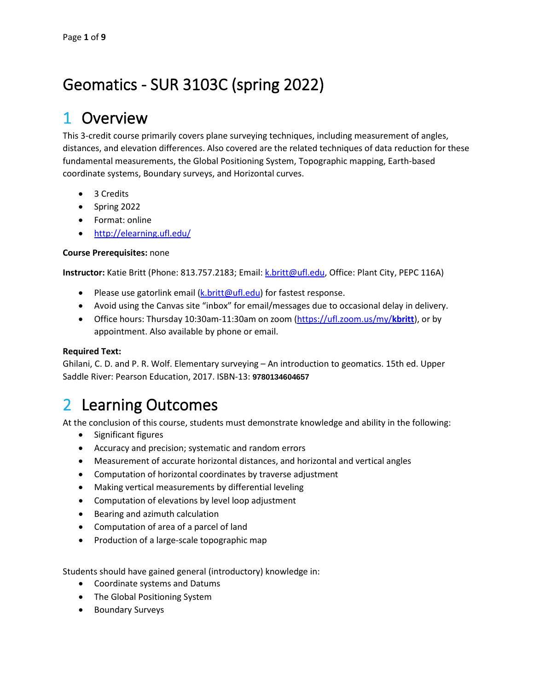# Geomatics - SUR 3103C (spring 2022)

## 1 Overview

This 3-credit course primarily covers plane surveying techniques, including measurement of angles, distances, and elevation differences. Also covered are the related techniques of data reduction for these fundamental measurements, the Global Positioning System, Topographic mapping, Earth-based coordinate systems, Boundary surveys, and Horizontal curves.

- 3 Credits
- Spring 2022
- Format: online
- <http://elearning.ufl.edu/>

#### **Course Prerequisites:** none

**Instructor:** Katie Britt (Phone: 813.757.2183; Email: [k.britt@ufl.edu,](mailto:k.britt@ufl.edu) Office: Plant City, PEPC 116A)

- Please use gatorlink email [\(k.britt@ufl.edu\)](mailto:k.britt@ufl.edu) for fastest response.
- Avoid using the Canvas site "inbox" for email/messages due to occasional delay in delivery.
- Office hours: Thursday 10:30am-11:30am on zoom (https://ufl.zoom.us/my/**kbritt**), or by appointment. Also available by phone or email.

#### **Required Text:**

Ghilani, C. D. and P. R. Wolf. Elementary surveying – An introduction to geomatics. 15th ed. Upper Saddle River: Pearson Education, 2017. ISBN-13: **9780134604657**

## 2 Learning Outcomes

At the conclusion of this course, students must demonstrate knowledge and ability in the following:

- Significant figures
- Accuracy and precision; systematic and random errors
- Measurement of accurate horizontal distances, and horizontal and vertical angles
- Computation of horizontal coordinates by traverse adjustment
- Making vertical measurements by differential leveling
- Computation of elevations by level loop adjustment
- Bearing and azimuth calculation
- Computation of area of a parcel of land
- Production of a large-scale topographic map

Students should have gained general (introductory) knowledge in:

- Coordinate systems and Datums
- The Global Positioning System
- Boundary Surveys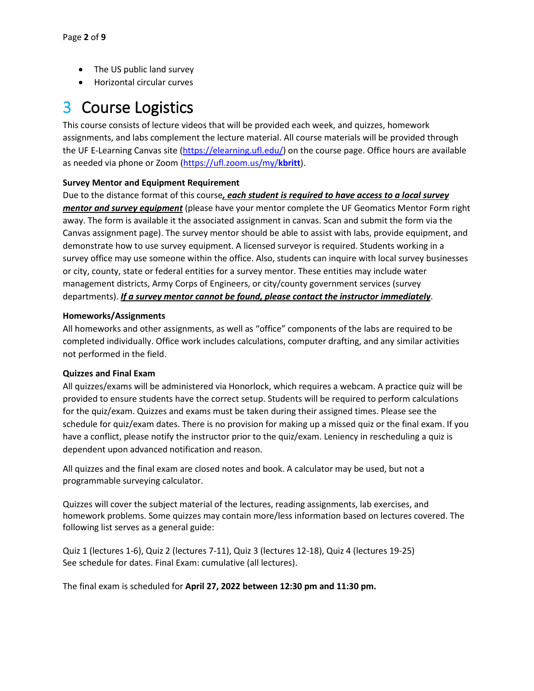- The US public land survey
- Horizontal circular curves

# 3 Course Logistics

This course consists of lecture videos that will be provided each week, and quizzes, homework assignments, and labs complement the lecture material. All course materials will be provided through the UF E-Learning Canvas site [\(https://elearning.ufl.edu/\)](https://elearning.ufl.edu/) on the course page. Office hours are available as needed via phone or Zoom (https://ufl.zoom.us/my/**kbritt**).

#### **Survey Mentor and Equipment Requirement**

Due to the distance format of this course*, each student is required to have access to a local survey mentor and survey equipment* (please have your mentor complete the UF Geomatics Mentor Form right away. The form is available it the associated assignment in canvas. Scan and submit the form via the Canvas assignment page). The survey mentor should be able to assist with labs, provide equipment, and demonstrate how to use survey equipment. A licensed surveyor is required. Students working in a survey office may use someone within the office. Also, students can inquire with local survey businesses or city, county, state or federal entities for a survey mentor. These entities may include water management districts, Army Corps of Engineers, or city/county government services (survey departments). *If a survey mentor cannot be found, please contact the instructor immediately*.

#### **Homeworks/Assignments**

All homeworks and other assignments, as well as "office" components of the labs are required to be completed individually. Office work includes calculations, computer drafting, and any similar activities not performed in the field.

#### **Quizzes and Final Exam**

All quizzes/exams will be administered via Honorlock, which requires a webcam. A practice quiz will be provided to ensure students have the correct setup. Students will be required to perform calculations for the quiz/exam. Quizzes and exams must be taken during their assigned times. Please see the schedule for quiz/exam dates. There is no provision for making up a missed quiz or the final exam. If you have a conflict, please notify the instructor prior to the quiz/exam. Leniency in rescheduling a quiz is dependent upon advanced notification and reason.

All quizzes and the final exam are closed notes and book. A calculator may be used, but not a programmable surveying calculator.

Quizzes will cover the subject material of the lectures, reading assignments, lab exercises, and homework problems. Some quizzes may contain more/less information based on lectures covered. The following list serves as a general guide:

Quiz 1 (lectures 1-6), Quiz 2 (lectures 7-11), Quiz 3 (lectures 12-18), Quiz 4 (lectures 19-25) See schedule for dates. Final Exam: cumulative (all lectures).

The final exam is scheduled for **April 27, 2022 between 12:30 pm and 11:30 pm.**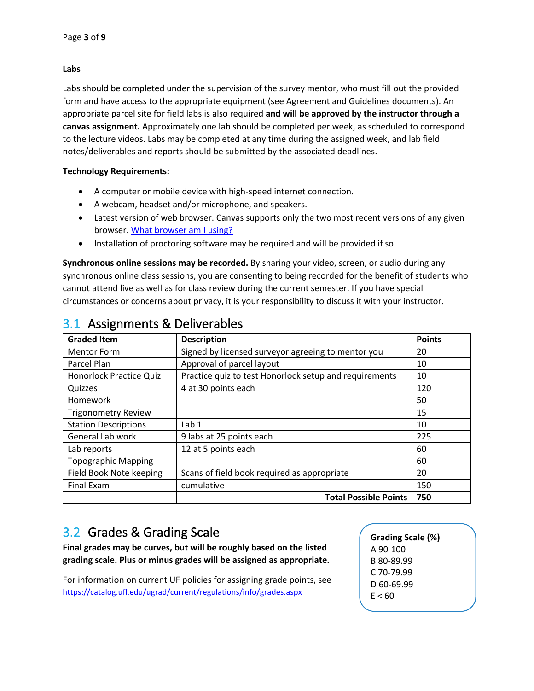#### **Labs**

Labs should be completed under the supervision of the survey mentor, who must fill out the provided form and have access to the appropriate equipment (see Agreement and Guidelines documents). An appropriate parcel site for field labs is also required **and will be approved by the instructor through a canvas assignment.** Approximately one lab should be completed per week, as scheduled to correspond to the lecture videos. Labs may be completed at any time during the assigned week, and lab field notes/deliverables and reports should be submitted by the associated deadlines.

#### **Technology Requirements:**

- A computer or mobile device with high-speed internet connection.
- A webcam, headset and/or microphone, and speakers.
- Latest version of web browser. Canvas supports only the two most recent versions of any given browser. [What browser am I using?](http://whatbrowser.org/)
- Installation of proctoring software may be required and will be provided if so.

**Synchronous online sessions may be recorded.** By sharing your video, screen, or audio during any synchronous online class sessions, you are consenting to being recorded for the benefit of students who cannot attend live as well as for class review during the current semester. If you have special circumstances or concerns about privacy, it is your responsibility to discuss it with your instructor.

| <b>Graded Item</b>             | <b>Description</b>                                     | <b>Points</b> |  |  |  |
|--------------------------------|--------------------------------------------------------|---------------|--|--|--|
| <b>Mentor Form</b>             | Signed by licensed surveyor agreeing to mentor you     | 20            |  |  |  |
| Parcel Plan                    | Approval of parcel layout                              | 10            |  |  |  |
| <b>Honorlock Practice Quiz</b> | Practice quiz to test Honorlock setup and requirements | 10            |  |  |  |
| Quizzes                        | 4 at 30 points each                                    | 120           |  |  |  |
| Homework                       |                                                        | 50            |  |  |  |
| <b>Trigonometry Review</b>     |                                                        | 15            |  |  |  |
| <b>Station Descriptions</b>    | Lab 1                                                  | 10            |  |  |  |
| General Lab work               | 9 labs at 25 points each                               | 225           |  |  |  |
| Lab reports                    | 12 at 5 points each                                    | 60            |  |  |  |
| <b>Topographic Mapping</b>     |                                                        | 60            |  |  |  |
| Field Book Note keeping        | Scans of field book required as appropriate            | 20            |  |  |  |
| Final Exam                     | 150                                                    |               |  |  |  |
| <b>Total Possible Points</b>   |                                                        |               |  |  |  |

## 3.1 Assignments & Deliverables

## 3.2 Grades & Grading Scale

**Final grades may be curves, but will be roughly based on the listed grading scale. Plus or minus grades will be assigned as appropriate.**

For information on current UF policies for assigning grade points, see <https://catalog.ufl.edu/ugrad/current/regulations/info/grades.aspx>

**Grading Scale (%)** A 90-100 B 80-89.99 C 70-79.99 D 60-69.99  $E < 60$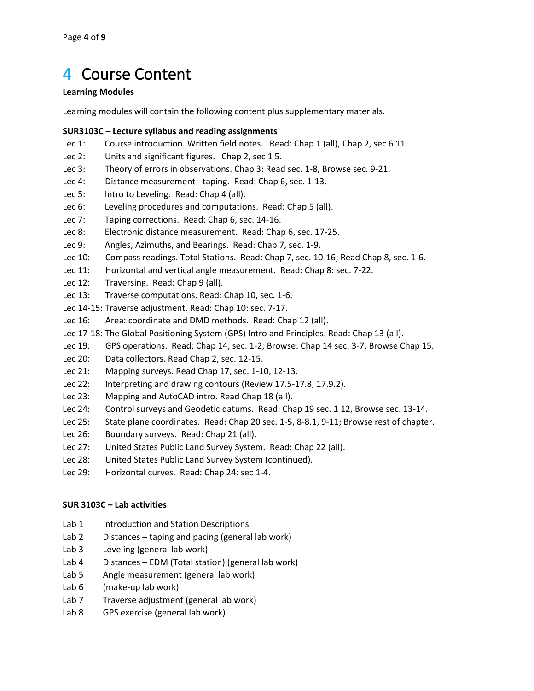## 4 Course Content

#### **Learning Modules**

Learning modules will contain the following content plus supplementary materials.

#### **SUR3103C – Lecture syllabus and reading assignments**

- Lec 1: Course introduction. Written field notes. Read: Chap 1 (all), Chap 2, sec 6 11.
- Lec 2: Units and significant figures. Chap 2, sec 15.
- Lec 3: Theory of errors in observations. Chap 3: Read sec. 1-8, Browse sec. 9-21.
- Lec 4: Distance measurement taping. Read: Chap 6, sec. 1-13.
- Lec 5: Intro to Leveling. Read: Chap 4 (all).
- Lec 6: Leveling procedures and computations. Read: Chap 5 (all).
- Lec 7: Taping corrections. Read: Chap 6, sec. 14-16.
- Lec 8: Electronic distance measurement. Read: Chap 6, sec. 17-25.
- Lec 9: Angles, Azimuths, and Bearings. Read: Chap 7, sec. 1-9.
- Lec 10: Compass readings. Total Stations. Read: Chap 7, sec. 10-16; Read Chap 8, sec. 1-6.
- Lec 11: Horizontal and vertical angle measurement. Read: Chap 8: sec. 7-22.
- Lec 12: Traversing. Read: Chap 9 (all).
- Lec 13: Traverse computations. Read: Chap 10, sec. 1-6.
- Lec 14-15: Traverse adjustment. Read: Chap 10: sec. 7-17.
- Lec 16: Area: coordinate and DMD methods. Read: Chap 12 (all).
- Lec 17-18: The Global Positioning System (GPS) Intro and Principles. Read: Chap 13 (all).
- Lec 19: GPS operations. Read: Chap 14, sec. 1-2; Browse: Chap 14 sec. 3-7. Browse Chap 15.
- Lec 20: Data collectors. Read Chap 2, sec. 12-15.
- Lec 21: Mapping surveys. Read Chap 17, sec. 1-10, 12-13.
- Lec 22: Interpreting and drawing contours (Review 17.5-17.8, 17.9.2).
- Lec 23: Mapping and AutoCAD intro. Read Chap 18 (all).
- Lec 24: Control surveys and Geodetic datums. Read: Chap 19 sec. 1 12, Browse sec. 13-14.
- Lec 25: State plane coordinates. Read: Chap 20 sec. 1-5, 8-8.1, 9-11; Browse rest of chapter.
- Lec 26: Boundary surveys. Read: Chap 21 (all).
- Lec 27: United States Public Land Survey System. Read: Chap 22 (all).
- Lec 28: United States Public Land Survey System (continued).
- Lec 29: Horizontal curves. Read: Chap 24: sec 1-4.

#### **SUR 3103C – Lab activities**

- Lab 1 Introduction and Station Descriptions
- Lab 2 Distances taping and pacing (general lab work)
- Lab 3 Leveling (general lab work)
- Lab 4 Distances EDM (Total station) (general lab work)
- Lab 5 Angle measurement (general lab work)
- Lab 6 (make-up lab work)
- Lab 7 Traverse adjustment (general lab work)
- Lab 8 GPS exercise (general lab work)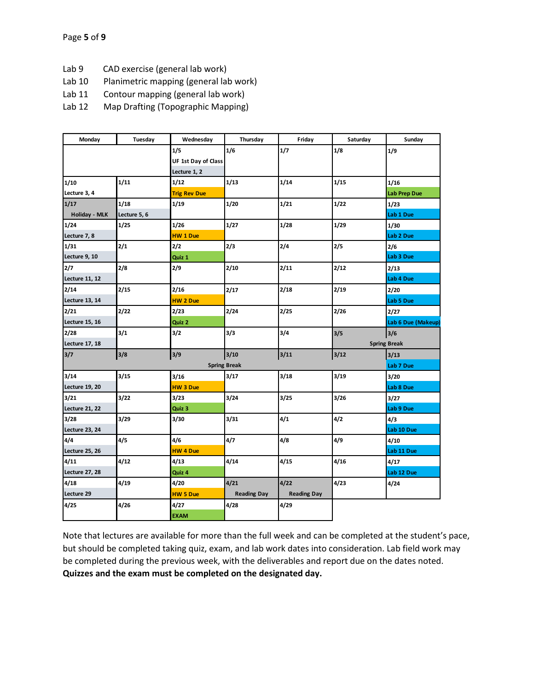- Lab 9 CAD exercise (general lab work)
- Lab 10 Planimetric mapping (general lab work)
- Lab 11 Contour mapping (general lab work)
- Lab 12 Map Drafting (Topographic Mapping)

| Monday                | Tuesday      | Wednesday                  | Thursday           | Friday             | Saturday | Sunday              |
|-----------------------|--------------|----------------------------|--------------------|--------------------|----------|---------------------|
|                       |              | 1/5                        | 1/6                | 1/7                | 1/8      | 1/9                 |
|                       |              | <b>UF 1st Day of Class</b> |                    |                    |          |                     |
|                       |              | Lecture 1, 2               |                    |                    |          |                     |
| 1/10                  | 1/11         | 1/12                       | 1/13               | 1/14               | 1/15     | 1/16                |
| Lecture 3, 4          |              | <b>Trig Rev Due</b>        |                    |                    |          | <b>Lab Prep Due</b> |
| 1/17                  | 1/18         | 1/19                       | 1/20               | 1/21               | 1/22     | 1/23                |
| Holiday - MLK         | Lecture 5, 6 |                            |                    |                    |          | Lab 1 Due           |
| 1/24                  | 1/25         | 1/26                       | 1/27               | 1/28               | 1/29     | 1/30                |
| Lecture 7, 8          |              | <b>HW 1 Due</b>            |                    |                    |          | Lab 2 Due           |
| 1/31                  | 2/1          | 2/2                        | 2/3                | 2/4                | 2/5      | 2/6                 |
| Lecture 9, 10         |              | Quiz 1                     |                    |                    |          | Lab 3 Due           |
| 2/7                   | 2/8          | 2/9                        | 2/10               | 2/11               | 2/12     | 2/13                |
| <b>Lecture 11, 12</b> |              |                            |                    |                    |          | Lab 4 Due           |
| 2/14                  | 2/15         | 2/16                       | 2/17               | 2/18               | 2/19     | 2/20                |
| Lecture 13, 14        |              | <b>HW 2 Due</b>            |                    |                    |          | Lab 5 Due           |
| 2/21                  | 2/22         | 2/23                       | 2/24               | 2/25               | 2/26     | 2/27                |
| Lecture 15, 16        |              | Quiz 2                     |                    |                    |          | Lab 6 Due (Makeup)  |
| 2/28                  | 3/1          | 3/2                        | 3/3                | 3/4                | 3/5      | 3/6                 |
| Lecture 17, 18        |              |                            |                    |                    |          | <b>Spring Break</b> |
| 3/7                   | 3/8          | 3/9                        | 3/10               | 3/11               | 3/12     | 3/13                |
|                       |              | Lab 7 Due                  |                    |                    |          |                     |
| 3/14                  | 3/15         | 3/16                       | 3/17               | 3/18               | 3/19     | 3/20                |
| Lecture 19, 20        |              | <b>HW3Due</b>              |                    |                    |          | Lab 8 Due           |
| 3/21                  | 3/22         | 3/23                       | 3/24               | 3/25               | 3/26     | 3/27                |
| Lecture 21, 22        |              | Quiz 3                     |                    |                    |          | Lab 9 Due           |
| 3/28                  | 3/29         | 3/30                       | 3/31               | 4/1                | 4/2      | 4/3                 |
| Lecture 23, 24        |              |                            |                    |                    |          | Lab 10 Due          |
| 4/4                   | 4/5          | 4/6                        | 4/7                | 4/8                | 4/9      | 4/10                |
| Lecture 25, 26        |              | <b>HW 4 Due</b>            |                    |                    |          | Lab 11 Due          |
| 4/11                  | 4/12         | 4/13                       | 4/14               | 4/15               | 4/16     | 4/17                |
| Lecture 27, 28        |              | Quiz 4                     |                    |                    |          | Lab 12 Due          |
| 4/18                  | 4/19         | 4/20                       | 4/21               | 4/22               | 4/23     | 4/24                |
| Lecture 29            |              | <b>HW 5 Due</b>            | <b>Reading Day</b> | <b>Reading Day</b> |          |                     |
| 4/25                  | 4/26         | 4/27                       | 4/28               | 4/29               |          |                     |
|                       |              | <b>EXAM</b>                |                    |                    |          |                     |

Note that lectures are available for more than the full week and can be completed at the student's pace, but should be completed taking quiz, exam, and lab work dates into consideration. Lab field work may be completed during the previous week, with the deliverables and report due on the dates noted. **Quizzes and the exam must be completed on the designated day.**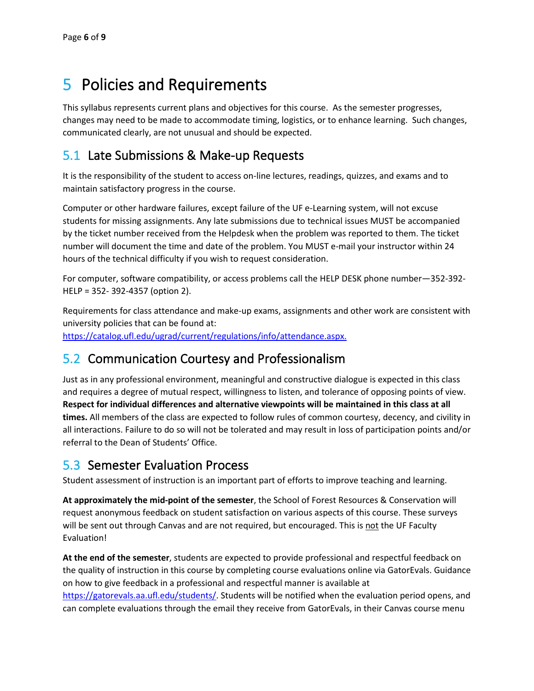## 5 Policies and Requirements

This syllabus represents current plans and objectives for this course. As the semester progresses, changes may need to be made to accommodate timing, logistics, or to enhance learning. Such changes, communicated clearly, are not unusual and should be expected.

### 5.1 Late Submissions & Make-up Requests

It is the responsibility of the student to access on-line lectures, readings, quizzes, and exams and to maintain satisfactory progress in the course.

Computer or other hardware failures, except failure of the UF e-Learning system, will not excuse students for missing assignments. Any late submissions due to technical issues MUST be accompanied by the ticket number received from the Helpdesk when the problem was reported to them. The ticket number will document the time and date of the problem. You MUST e-mail your instructor within 24 hours of the technical difficulty if you wish to request consideration.

For computer, software compatibility, or access problems call the HELP DESK phone number—352-392- HELP = 352- 392-4357 (option 2).

Requirements for class attendance and make-up exams, assignments and other work are consistent with university policies that can be found at: [https://catalog.ufl.edu/ugrad/current/regulations/info/attendance.aspx.](https://catalog.ufl.edu/ugrad/current/regulations/info/attendance.aspx)

### 5.2 Communication Courtesy and Professionalism

Just as in any professional environment, meaningful and constructive dialogue is expected in this class and requires a degree of mutual respect, willingness to listen, and tolerance of opposing points of view. **Respect for individual differences and alternative viewpoints will be maintained in this class at all times.** All members of the class are expected to follow rules of common courtesy, decency, and civility in all interactions. Failure to do so will not be tolerated and may result in loss of participation points and/or referral to the Dean of Students' Office.

### 5.3 Semester Evaluation Process

Student assessment of instruction is an important part of efforts to improve teaching and learning.

**At approximately the mid-point of the semester**, the School of Forest Resources & Conservation will request anonymous feedback on student satisfaction on various aspects of this course. These surveys will be sent out through Canvas and are not required, but encouraged. This is not the UF Faculty Evaluation!

**At the end of the semester**, students are expected to provide professional and respectful feedback on the quality of instruction in this course by completing course evaluations online via GatorEvals. Guidance on how to give feedback in a professional and respectful manner is available at [https://gatorevals.aa.ufl.edu/students/.](https://gatorevals.aa.ufl.edu/students/) Students will be notified when the evaluation period opens, and can complete evaluations through the email they receive from GatorEvals, in their Canvas course menu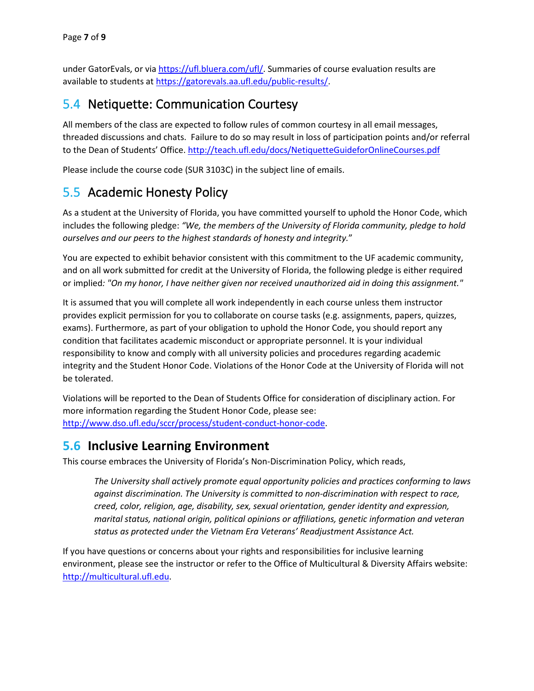under GatorEvals, or vi[a https://ufl.bluera.com/ufl/.](https://ufl.bluera.com/ufl/) Summaries of course evaluation results are available to students at [https://gatorevals.aa.ufl.edu/public-results/.](https://gatorevals.aa.ufl.edu/public-results/)

### 5.4 Netiquette: Communication Courtesy

All members of the class are expected to follow rules of common courtesy in all email messages, threaded discussions and chats. Failure to do so may result in loss of participation points and/or referral to the Dean of Students' Office[. http://teach.ufl.edu/docs/NetiquetteGuideforOnlineCourses.pdf](http://teach.ufl.edu/docs/NetiquetteGuideforOnlineCourses.pdf)

Please include the course code (SUR 3103C) in the subject line of emails.

### 5.5 Academic Honesty Policy

As a student at the University of Florida, you have committed yourself to uphold the Honor Code, which includes the following pledge: *"We, the members of the University of Florida community, pledge to hold ourselves and our peers to the highest standards of honesty and integrity.*"

You are expected to exhibit behavior consistent with this commitment to the UF academic community, and on all work submitted for credit at the University of Florida, the following pledge is either required or implied*: "On my honor, I have neither given nor received unauthorized aid in doing this assignment."*

It is assumed that you will complete all work independently in each course unless them instructor provides explicit permission for you to collaborate on course tasks (e.g. assignments, papers, quizzes, exams). Furthermore, as part of your obligation to uphold the Honor Code, you should report any condition that facilitates academic misconduct or appropriate personnel. It is your individual responsibility to know and comply with all university policies and procedures regarding academic integrity and the Student Honor Code. Violations of the Honor Code at the University of Florida will not be tolerated.

Violations will be reported to the Dean of Students Office for consideration of disciplinary action. For more information regarding the Student Honor Code, please see: [http://www.dso.ufl.edu/sccr/process/student-conduct-honor-code.](http://www.dso.ufl.edu/sccr/process/student-conduct-honor-code)

### **5.6 Inclusive Learning Environment**

This course embraces the University of Florida's Non-Discrimination Policy, which reads,

*The University shall actively promote equal opportunity policies and practices conforming to laws against discrimination. The University is committed to non-discrimination with respect to race, creed, color, religion, age, disability, sex, sexual orientation, gender identity and expression, marital status, national origin, political opinions or affiliations, genetic information and veteran status as protected under the Vietnam Era Veterans' Readjustment Assistance Act.*

If you have questions or concerns about your rights and responsibilities for inclusive learning environment, please see the instructor or refer to the Office of Multicultural & Diversity Affairs website: [http://multicultural.ufl.edu.](http://multicultural.ufl.edu/)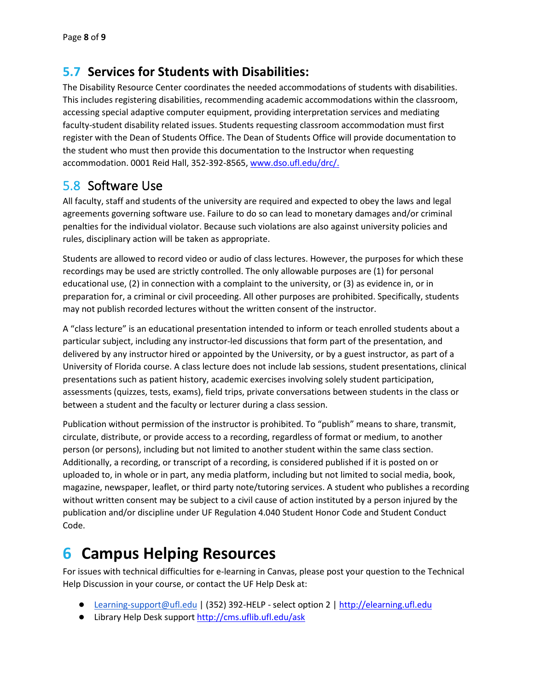### **5.7 Services for Students with Disabilities:**

The Disability Resource Center coordinates the needed accommodations of students with disabilities. This includes registering disabilities, recommending academic accommodations within the classroom, accessing special adaptive computer equipment, providing interpretation services and mediating faculty-student disability related issues. Students requesting classroom accommodation must first register with the Dean of Students Office. The Dean of Students Office will provide documentation to the student who must then provide this documentation to the Instructor when requesting accommodation. 0001 Reid Hall, 352-392-8565, [www.dso.ufl.edu/drc/.](http://www.dso.ufl.edu/drc/)

### 5.8 Software Use

All faculty, staff and students of the university are required and expected to obey the laws and legal agreements governing software use. Failure to do so can lead to monetary damages and/or criminal penalties for the individual violator. Because such violations are also against university policies and rules, disciplinary action will be taken as appropriate.

Students are allowed to record video or audio of class lectures. However, the purposes for which these recordings may be used are strictly controlled. The only allowable purposes are (1) for personal educational use, (2) in connection with a complaint to the university, or (3) as evidence in, or in preparation for, a criminal or civil proceeding. All other purposes are prohibited. Specifically, students may not publish recorded lectures without the written consent of the instructor.

A "class lecture" is an educational presentation intended to inform or teach enrolled students about a particular subject, including any instructor-led discussions that form part of the presentation, and delivered by any instructor hired or appointed by the University, or by a guest instructor, as part of a University of Florida course. A class lecture does not include lab sessions, student presentations, clinical presentations such as patient history, academic exercises involving solely student participation, assessments (quizzes, tests, exams), field trips, private conversations between students in the class or between a student and the faculty or lecturer during a class session.

Publication without permission of the instructor is prohibited. To "publish" means to share, transmit, circulate, distribute, or provide access to a recording, regardless of format or medium, to another person (or persons), including but not limited to another student within the same class section. Additionally, a recording, or transcript of a recording, is considered published if it is posted on or uploaded to, in whole or in part, any media platform, including but not limited to social media, book, magazine, newspaper, leaflet, or third party note/tutoring services. A student who publishes a recording without written consent may be subject to a civil cause of action instituted by a person injured by the publication and/or discipline under UF Regulation 4.040 Student Honor Code and Student Conduct Code.

## **6 Campus Helping Resources**

For issues with technical difficulties for e-learning in Canvas, please post your question to the Technical Help Discussion in your course, or contact the UF Help Desk at:

- [Learning-support@ufl.edu](mailto:Learning-support@ufl.edu) | (352) 392-HELP select option 2 | [http://elearning.ufl.edu](http://elearning.ufl.edu/)
- Library Help Desk support<http://cms.uflib.ufl.edu/ask>